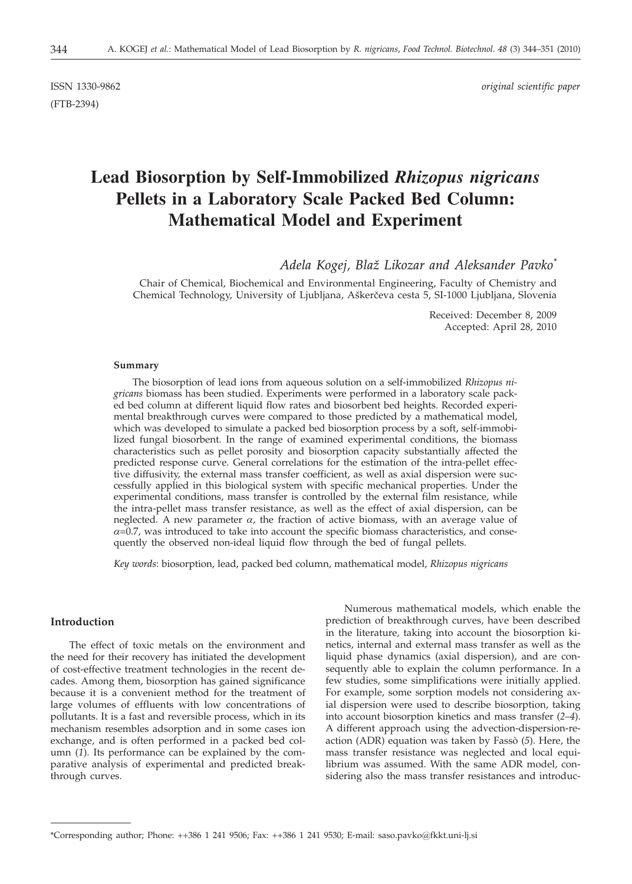(FTB-2394)

ISSN 1330-9862 *original scientific paper*

# **Lead Biosorption by Self-Immobilized** *Rhizopus nigricans* **Pellets in a Laboratory Scale Packed Bed Column: Mathematical Model and Experiment**

*Adela Kogej, Bla` Likozar and Aleksander Pavko\**

Chair of Chemical, Biochemical and Environmental Engineering, Faculty of Chemistry and Chemical Technology, University of Ljubljana, Aškerčeva cesta 5, SI-1000 Ljubljana, Slovenia

> Received: December 8, 2009 Accepted: April 28, 2010

#### **Summary**

The biosorption of lead ions from aqueous solution on a self-immobilized *Rhizopus nigricans* biomass has been studied. Experiments were performed in a laboratory scale packed bed column at different liquid flow rates and biosorbent bed heights. Recorded experimental breakthrough curves were compared to those predicted by a mathematical model, which was developed to simulate a packed bed biosorption process by a soft, self-immobilized fungal biosorbent. In the range of examined experimental conditions, the biomass characteristics such as pellet porosity and biosorption capacity substantially affected the predicted response curve. General correlations for the estimation of the intra-pellet effective diffusivity, the external mass transfer coefficient, as well as axial dispersion were successfully applied in this biological system with specific mechanical properties. Under the experimental conditions, mass transfer is controlled by the external film resistance, while the intra-pellet mass transfer resistance, as well as the effect of axial dispersion, can be neglected. A new parameter  $\alpha$ , the fraction of active biomass, with an average value of  $\alpha$ =0.7, was introduced to take into account the specific biomass characteristics, and consequently the observed non-ideal liquid flow through the bed of fungal pellets.

*Key words*: biosorption, lead, packed bed column, mathematical model, *Rhizopus nigricans*

#### **Introduction**

The effect of toxic metals on the environment and the need for their recovery has initiated the development of cost-effective treatment technologies in the recent decades. Among them, biosorption has gained significance because it is a convenient method for the treatment of large volumes of effluents with low concentrations of pollutants. It is a fast and reversible process, which in its mechanism resembles adsorption and in some cases ion exchange, and is often performed in a packed bed column (*1*). Its performance can be explained by the comparative analysis of experimental and predicted breakthrough curves.

Numerous mathematical models, which enable the prediction of breakthrough curves, have been described in the literature, taking into account the biosorption kinetics, internal and external mass transfer as well as the liquid phase dynamics (axial dispersion), and are consequently able to explain the column performance. In a few studies, some simplifications were initially applied. For example, some sorption models not considering axial dispersion were used to describe biosorption, taking into account biosorption kinetics and mass transfer (*2*–*4*). A different approach using the advection-dispersion-reaction (ADR) equation was taken by Fassò (*5*). Here, the mass transfer resistance was neglected and local equilibrium was assumed. With the same ADR model, considering also the mass transfer resistances and introduc-

<sup>\*</sup>Corresponding author; Phone: ++386 1 241 9506; Fax: ++386 1 241 9530; E-mail: saso.pavko@fkkt.uni-lj.si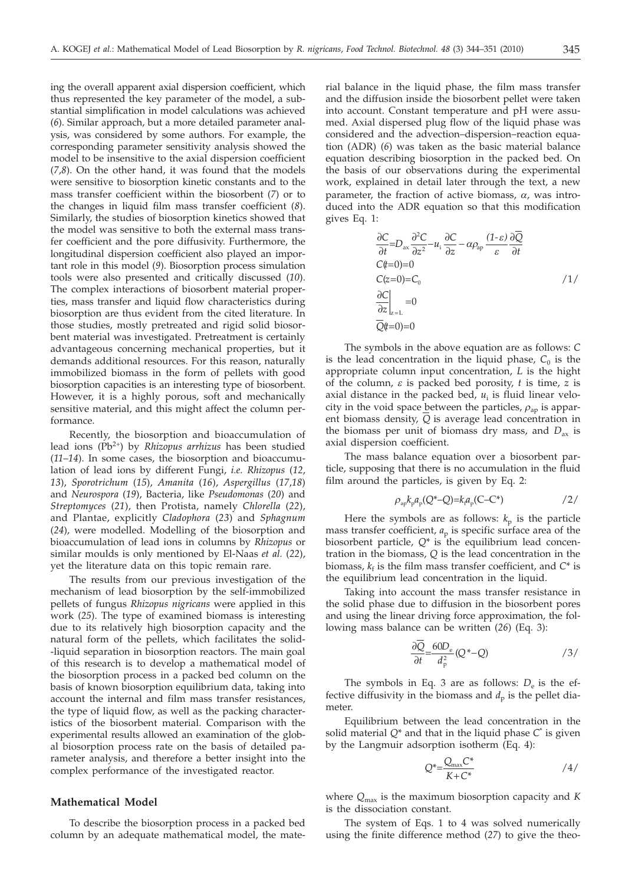ing the overall apparent axial dispersion coefficient, which thus represented the key parameter of the model, a substantial simplification in model calculations was achieved (*6*). Similar approach, but a more detailed parameter analysis, was considered by some authors. For example, the corresponding parameter sensitivity analysis showed the model to be insensitive to the axial dispersion coefficient (*7*,*8*). On the other hand, it was found that the models were sensitive to biosorption kinetic constants and to the mass transfer coefficient within the biosorbent (*7*) or to the changes in liquid film mass transfer coefficient (*8*). Similarly, the studies of biosorption kinetics showed that the model was sensitive to both the external mass transfer coefficient and the pore diffusivity. Furthermore, the longitudinal dispersion coefficient also played an important role in this model (*9*). Biosorption process simulation tools were also presented and critically discussed (*10*). The complex interactions of biosorbent material properties, mass transfer and liquid flow characteristics during biosorption are thus evident from the cited literature. In those studies, mostly pretreated and rigid solid biosorbent material was investigated. Pretreatment is certainly advantageous concerning mechanical properties, but it demands additional resources. For this reason, naturally immobilized biomass in the form of pellets with good biosorption capacities is an interesting type of biosorbent. However, it is a highly porous, soft and mechanically sensitive material, and this might affect the column performance.

Recently, the biosorption and bioaccumulation of lead ions (Pb2+) by *Rhizopus arrhizus* has been studied (*11*–*14*). In some cases, the biosorption and bioaccumulation of lead ions by different Fungi, *i.e*. *Rhizopus* (*12*, *13*), *Sporotrichum* (*15*), *Amanita* (*16*), *Aspergillus* (*17*,*18*) and *Neurospora* (*19*), Bacteria, like *Pseudomonas* (*20*) and *Streptomyces* (*21*), then Protista, namely *Chlorella* (*22*), and Plantae, explicitly *Cladophora* (*23*) and *Sphagnum* (*24*), were modelled. Modelling of the biosorption and bioaccumulation of lead ions in columns by *Rhizopus* or similar moulds is only mentioned by El-Naas *et al.* (*22*), yet the literature data on this topic remain rare.

The results from our previous investigation of the mechanism of lead biosorption by the self-immobilized pellets of fungus *Rhizopus nigricans* were applied in this work (*25*). The type of examined biomass is interesting due to its relatively high biosorption capacity and the natural form of the pellets, which facilitates the solid- -liquid separation in biosorption reactors. The main goal of this research is to develop a mathematical model of the biosorption process in a packed bed column on the basis of known biosorption equilibrium data, taking into account the internal and film mass transfer resistances, the type of liquid flow, as well as the packing characteristics of the biosorbent material. Comparison with the experimental results allowed an examination of the global biosorption process rate on the basis of detailed parameter analysis, and therefore a better insight into the complex performance of the investigated reactor.

# **Mathematical Model**

To describe the biosorption process in a packed bed column by an adequate mathematical model, the mate-

rial balance in the liquid phase, the film mass transfer and the diffusion inside the biosorbent pellet were taken into account. Constant temperature and pH were assumed. Axial dispersed plug flow of the liquid phase was considered and the advection–dispersion–reaction equation (ADR) (*6*) was taken as the basic material balance equation describing biosorption in the packed bed. On the basis of our observations during the experimental work, explained in detail later through the text, a new parameter, the fraction of active biomass,  $\alpha$ , was introduced into the ADR equation so that this modification gives Eq. 1:

$$
\frac{\partial C}{\partial t} = D_{\text{ax}} \frac{\partial^2 C}{\partial z^2} - u_1 \frac{\partial C}{\partial z} - \alpha \rho_{\text{ap}} \frac{(1 - \varepsilon)}{\varepsilon} \frac{\partial Q}{\partial t}
$$
\n
$$
C(t=0) = 0
$$
\n
$$
C(z=0) = C_0
$$
\n
$$
\left. \frac{\partial C}{\partial z} \right|_{z=L} = 0
$$
\n
$$
\left. Q(t=0) = 0 \right]
$$
\n
$$
1 / 1
$$

The symbols in the above equation are as follows: *C* is the lead concentration in the liquid phase,  $C_0$  is the appropriate column input concentration, *L* is the hight of the column, *e* is packed bed porosity, *<sup>t</sup>* is time, *<sup>z</sup>* is axial distance in the packed bed,  $u_i$  is fluid linear velocity in the void space between the particles,  $\rho_{ap}$  is apparent biomass density, *Q* is average lead concentration in the biomass per unit of biomass dry mass, and  $D_{ax}$  is axial dispersion coefficient.

The mass balance equation over a biosorbent particle, supposing that there is no accumulation in the fluid film around the particles, is given by Eq. 2:

$$
\rho_{ap} k_p a_p (Q^* - Q) = k_i a_p (C - C^*)
$$

Here the symbols are as follows:  $k_p$  is the particle mass transfer coefficient,  $a_p$  is specific surface area of the biosorbent particle, Q<sup>\*</sup> is the equilibrium lead concentration in the biomass, *Q* is the lead concentration in the biomass,  $k_f$  is the film mass transfer coefficient, and  $C^*$  is the equilibrium lead concentration in the liquid.

Taking into account the mass transfer resistance in the solid phase due to diffusion in the biosorbent pores and using the linear driving force approximation, the following mass balance can be written (*26*) (Eq. 3):

$$
\frac{\partial Q}{\partial t} = \frac{60D_{\rm e}}{d_{\rm p}^2} (Q^* - Q) \tag{3/}
$$

The symbols in Eq. 3 are as follows:  $D_e$  is the effective diffusivity in the biomass and  $d_p$  is the pellet diameter.

Equilibrium between the lead concentration in the solid material *Q*\* and that in the liquid phase *C*\* is given by the Langmuir adsorption isotherm (Eq. 4):

$$
Q^* = \frac{Q_{\text{max}} C^*}{K + C^*}
$$

where *Q*max is the maximum biosorption capacity and *K* is the dissociation constant.

The system of Eqs. 1 to 4 was solved numerically using the finite difference method (*27*) to give the theo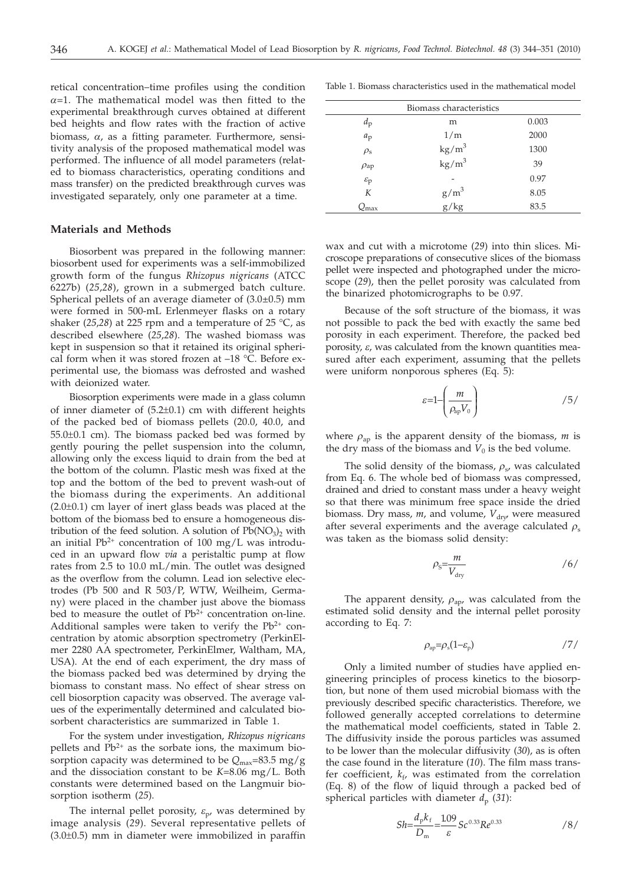retical concentration–time profiles using the condition  $\alpha$ =1. The mathematical model was then fitted to the experimental breakthrough curves obtained at different bed heights and flow rates with the fraction of active biomass,  $\alpha$ , as a fitting parameter. Furthermore, sensitivity analysis of the proposed mathematical model was performed. The influence of all model parameters (related to biomass characteristics, operating conditions and mass transfer) on the predicted breakthrough curves was investigated separately, only one parameter at a time.

#### **Materials and Methods**

Biosorbent was prepared in the following manner: biosorbent used for experiments was a self-immobilized growth form of the fungus *Rhizopus nigricans* (ATCC 6227b) (*25*,*28*), grown in a submerged batch culture. Spherical pellets of an average diameter of  $(3.0\pm0.5)$  mm were formed in 500-mL Erlenmeyer flasks on a rotary shaker (*25*,*28*) at 225 rpm and a temperature of 25 °C, as described elsewhere (*25*,*28*). The washed biomass was kept in suspension so that it retained its original spherical form when it was stored frozen at –18 °C. Before experimental use, the biomass was defrosted and washed with deionized water.

Biosorption experiments were made in a glass column of inner diameter of (5.2±0.1) cm with different heights of the packed bed of biomass pellets (20.0, 40.0, and 55.0±0.1 cm). The biomass packed bed was formed by gently pouring the pellet suspension into the column, allowing only the excess liquid to drain from the bed at the bottom of the column. Plastic mesh was fixed at the top and the bottom of the bed to prevent wash-out of the biomass during the experiments. An additional  $(2.0\pm0.1)$  cm layer of inert glass beads was placed at the bottom of the biomass bed to ensure a homogeneous distribution of the feed solution. A solution of  $Pb(NO<sub>3</sub>)<sub>2</sub>$  with an initial  $Pb^{2+}$  concentration of 100 mg/L was introduced in an upward flow *via* a peristaltic pump at flow rates from 2.5 to 10.0 mL/min. The outlet was designed as the overflow from the column. Lead ion selective electrodes (Pb 500 and R 503/P, WTW, Weilheim, Germany) were placed in the chamber just above the biomass bed to measure the outlet of  $Pb^{2+}$  concentration on-line. Additional samples were taken to verify the  $Pb^{2+}$  concentration by atomic absorption spectrometry (PerkinElmer 2280 AA spectrometer, PerkinElmer, Waltham, MA, USA). At the end of each experiment, the dry mass of the biomass packed bed was determined by drying the biomass to constant mass. No effect of shear stress on cell biosorption capacity was observed. The average values of the experimentally determined and calculated biosorbent characteristics are summarized in Table 1.

For the system under investigation, *Rhizopus nigricans* pellets and  $Pb^{2+}$  as the sorbate ions, the maximum biosorption capacity was determined to be  $Q_{\text{max}}$ =83.5 mg/g and the dissociation constant to be *K*=8.06 mg/L. Both constants were determined based on the Langmuir biosorption isotherm (*25*).

The internal pellet porosity,  $\varepsilon_{p}$ , was determined by image analysis (*29*). Several representative pellets of  $(3.0\pm0.5)$  mm in diameter were immobilized in paraffin

|                       | Biomass characteristics               |       |
|-----------------------|---------------------------------------|-------|
| $d_{\rm p}$           | m                                     | 0.003 |
| $a_p$                 | 1/m                                   | 2000  |
| $\rho_{\rm s}$        | $\frac{\text{kg/m}^3}{\text{kg/m}^3}$ | 1300  |
| $\rho_{\rm ap}$       |                                       | 39    |
| $\varepsilon_{\rm p}$ |                                       | 0.97  |
| K                     | $g/m^3$<br>$g/kg$                     | 8.05  |
| $\mathcal{Q}_{\max}$  |                                       | 83.5  |

wax and cut with a microtome (*29*) into thin slices. Microscope preparations of consecutive slices of the biomass pellet were inspected and photographed under the microscope (*29*), then the pellet porosity was calculated from the binarized photomicrographs to be 0.97.

Because of the soft structure of the biomass, it was not possible to pack the bed with exactly the same bed porosity in each experiment. Therefore, the packed bed porosity, *e*, was calculated from the known quantities measured after each experiment, assuming that the pellets were uniform nonporous spheres (Eq. 5):

$$
\varepsilon = 1 - \left(\frac{m}{\rho_{\rm ap} V_0}\right) \tag{5/}
$$

where  $\rho_{ap}$  is the apparent density of the biomass, *m* is the dry mass of the biomass and  $V_0$  is the bed volume.

The solid density of the biomass,  $\rho_{s}$ , was calculated from Eq. 6. The whole bed of biomass was compressed, drained and dried to constant mass under a heavy weight so that there was minimum free space inside the dried biomass. Dry mass, *m*, and volume,  $V_{\text{dry}}$  were measured after several experiments and the average calculated  $\rho_s$ was taken as the biomass solid density:

$$
\rho_{\rm s} = \frac{m}{V_{\rm dry}} \tag{6}
$$

The apparent density,  $\rho_{\text{ap}}$ , was calculated from the estimated solid density and the internal pellet porosity according to Eq. 7:

$$
\rho_{\rm ap} = \rho_{\rm s} (1 - \varepsilon_{\rm p}) \tag{7/}
$$

Only a limited number of studies have applied engineering principles of process kinetics to the biosorption, but none of them used microbial biomass with the previously described specific characteristics. Therefore, we followed generally accepted correlations to determine the mathematical model coefficients, stated in Table 2. The diffusivity inside the porous particles was assumed to be lower than the molecular diffusivity (*30*), as is often the case found in the literature (*10*). The film mass transfer coefficient,  $k_f$ , was estimated from the correlation (Eq. 8) of the flow of liquid through a packed bed of spherical particles with diameter  $d_p$  (31):

$$
Sh = \frac{d_p k_f}{D_m} = \frac{109}{\varepsilon} Sc^{0.33} Re^{0.33}
$$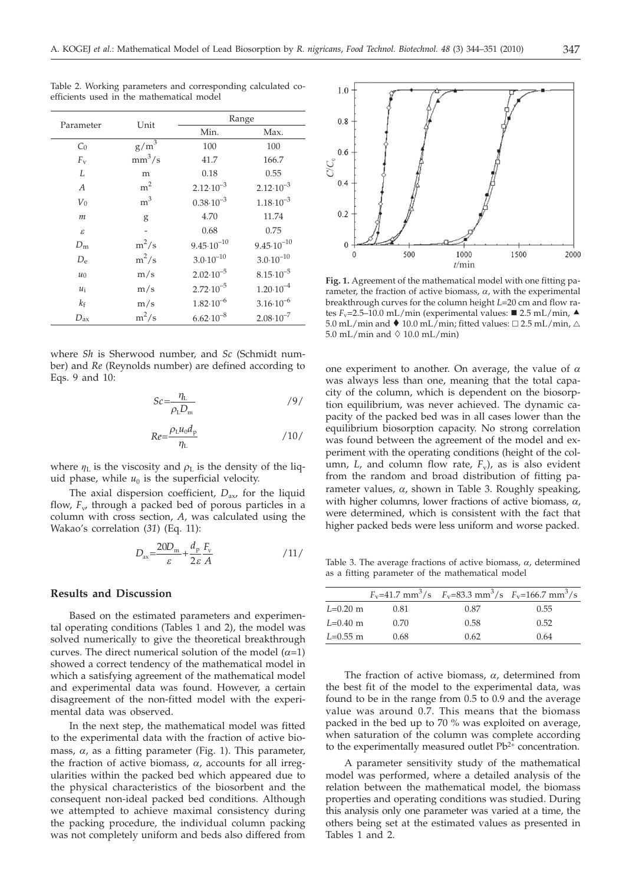| ۰.<br>۰ |  |
|---------|--|
| I       |  |

| Parameter        | Unit           | Range                 |                       |
|------------------|----------------|-----------------------|-----------------------|
|                  |                | Min.                  | Max.                  |
| $C_0$            | $g/m^3$        | 100                   | 100                   |
| $F_{\rm v}$      | $mm^3/s$       | 41.7                  | 166.7                 |
| L                | m              | 0.18                  | 0.55                  |
| $\boldsymbol{A}$ | m <sup>2</sup> | $2.12 \cdot 10^{-3}$  | $2.12 \cdot 10^{-3}$  |
| $V_0$            | m <sup>3</sup> | $0.38 \cdot 10^{-3}$  | $1.18 \cdot 10^{-3}$  |
| $\boldsymbol{m}$ | g              | 4.70                  | 11.74                 |
| $\mathcal E$     | -              | 0.68                  | 0.75                  |
| $D_{\rm m}$      | $m^2/s$        | $9.45 \cdot 10^{-10}$ | $9.45 \cdot 10^{-10}$ |
| $D_{\rm e}$      | $m^2/s$        | $3.0 \cdot 10^{-10}$  | $3.0 \cdot 10^{-10}$  |
| $u_0$            | m/s            | $2.02 \cdot 10^{-5}$  | $8.15 \cdot 10^{-5}$  |
| $u_i$            | m/s            | $2.72 \cdot 10^{-5}$  | $1.20 \cdot 10^{-4}$  |
| $k_{\rm f}$      | m/s            | $1.82 \cdot 10^{-6}$  | $3.16 \cdot 10^{-6}$  |
| $D_{\rm ax}$     | $m^2/s$        | $6.62 \cdot 10^{-8}$  | $2.08 \cdot 10^{-7}$  |

Table 2. Working parameters and corresponding calculated coefficients used in the mathematical model

where *Sh* is Sherwood number, and *Sc* (Schmidt number) and *Re* (Reynolds number) are defined according to Eqs. 9 and 10:

$$
Sc = \frac{\eta_{\rm L}}{\rho_{\rm L} D_{\rm m}} \tag{9}
$$

$$
Re = \frac{\rho_{\rm L} u_0 d_{\rm p}}{\eta_{\rm L}} \tag{10}
$$

where  $\eta_L$  is the viscosity and  $\rho_L$  is the density of the liquid phase, while  $u_0$  is the superficial velocity.

The axial dispersion coefficient,  $D_{\text{av}}$  for the liquid flow,  $F_w$  through a packed bed of porous particles in a column with cross section, *A*, was calculated using the Wakao's correlation (*31*) (Eq. 11):

$$
D_{\text{ax}} = \frac{20D_{\text{m}}}{\varepsilon} + \frac{d_{\text{p}}}{2\varepsilon} \frac{F_{\text{v}}}{A} \tag{11}
$$

# **Results and Discussion**

Based on the estimated parameters and experimental operating conditions (Tables 1 and 2), the model was solved numerically to give the theoretical breakthrough curves. The direct numerical solution of the model  $(\alpha=1)$ showed a correct tendency of the mathematical model in which a satisfying agreement of the mathematical model and experimental data was found. However, a certain disagreement of the non-fitted model with the experimental data was observed.

In the next step, the mathematical model was fitted to the experimental data with the fraction of active biomass,  $\alpha$ , as a fitting parameter (Fig. 1). This parameter, the fraction of active biomass,  $\alpha$ , accounts for all irregularities within the packed bed which appeared due to the physical characteristics of the biosorbent and the consequent non-ideal packed bed conditions. Although we attempted to achieve maximal consistency during the packing procedure, the individual column packing was not completely uniform and beds also differed from



**Fig. 1.** Agreement of the mathematical model with one fitting parameter, the fraction of active biomass,  $\alpha$ , with the experimental breakthrough curves for the column height *L*=20 cm and flow rates  $F_v$ =2.5–10.0 mL/min (experimental values:  $\blacksquare$  2.5 mL/min,  $\blacktriangle$  $5.0$  mL/min and  $\bullet$  10.0 mL/min; fitted values:  $\square$  2.5 mL/min,  $\triangle$ 5.0 mL/min and  $\Diamond$  10.0 mL/min)

one experiment to another. On average, the value of *a* was always less than one, meaning that the total capacity of the column, which is dependent on the biosorption equilibrium, was never achieved. The dynamic capacity of the packed bed was in all cases lower than the equilibrium biosorption capacity. No strong correlation was found between the agreement of the model and experiment with the operating conditions (height of the column, *L*, and column flow rate,  $F_v$ , as is also evident from the random and broad distribution of fitting parameter values,  $\alpha$ , shown in Table 3. Roughly speaking, with higher columns, lower fractions of active biomass, *a*, were determined, which is consistent with the fact that higher packed beds were less uniform and worse packed.

Table 3. The average fractions of active biomass,  $\alpha$ , determined as a fitting parameter of the mathematical model

|            |      |      | $F_v=41.7$ mm <sup>3</sup> /s $F_v=83.3$ mm <sup>3</sup> /s $F_v=166.7$ mm <sup>3</sup> /s |
|------------|------|------|--------------------------------------------------------------------------------------------|
| $L=0.20$ m | 0.81 | 0.87 | 0.55                                                                                       |
| $L=0.40$ m | 0.70 | 0.58 | 0.52                                                                                       |
| $L=0.55$ m | 0.68 | 0.62 | 0.64                                                                                       |

The fraction of active biomass,  $\alpha$ , determined from the best fit of the model to the experimental data, was found to be in the range from 0.5 to 0.9 and the average value was around 0.7. This means that the biomass packed in the bed up to 70 % was exploited on average, when saturation of the column was complete according to the experimentally measured outlet  $Pb^{2+}$  concentration.

A parameter sensitivity study of the mathematical model was performed, where a detailed analysis of the relation between the mathematical model, the biomass properties and operating conditions was studied. During this analysis only one parameter was varied at a time, the others being set at the estimated values as presented in Tables 1 and 2.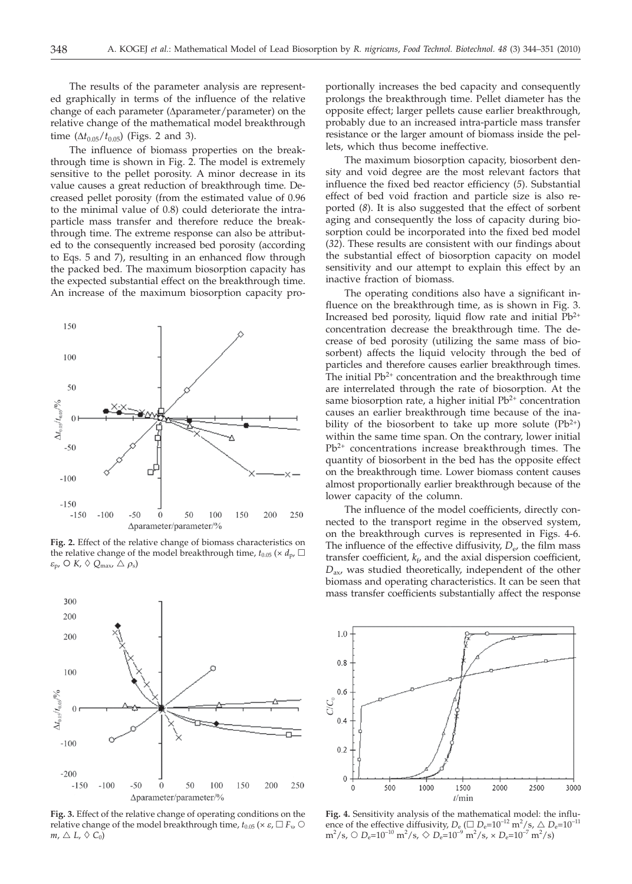The results of the parameter analysis are represented graphically in terms of the influence of the relative change of each parameter ( $\Delta$ parameter/parameter) on the relative change of the mathematical model breakthrough time  $(\Delta t_{0.05}/t_{0.05})$  (Figs. 2 and 3).

The influence of biomass properties on the breakthrough time is shown in Fig. 2. The model is extremely sensitive to the pellet porosity. A minor decrease in its value causes a great reduction of breakthrough time. Decreased pellet porosity (from the estimated value of 0.96 to the minimal value of 0.8) could deteriorate the intraparticle mass transfer and therefore reduce the breakthrough time. The extreme response can also be attributed to the consequently increased bed porosity (according to Eqs. 5 and 7), resulting in an enhanced flow through the packed bed. The maximum biosorption capacity has the expected substantial effect on the breakthrough time. An increase of the maximum biosorption capacity pro-



**Fig. 2.** Effect of the relative change of biomass characteristics on the relative change of the model breakthrough time,  $t_{0.05}$  ( $\times d_{p}$ ,  $\Box$  $\varepsilon_{\rm p}$ ,  $\circ$  *K*,  $\circ$   $Q_{\rm max}$ ,  $\triangle$   $\rho_{\rm s}$ )



**Fig. 3.** Effect of the relative change of operating conditions on the relative change of the model breakthrough time,  $t_{0.05}$  ( $\times \varepsilon$ ,  $\Box F_v$ ,  $\bigcirc$  $m, \triangle L, \diamond C_0$ 

portionally increases the bed capacity and consequently prolongs the breakthrough time. Pellet diameter has the opposite effect; larger pellets cause earlier breakthrough, probably due to an increased intra-particle mass transfer resistance or the larger amount of biomass inside the pellets, which thus become ineffective.

The maximum biosorption capacity, biosorbent density and void degree are the most relevant factors that influence the fixed bed reactor efficiency (*5*). Substantial effect of bed void fraction and particle size is also reported (*8*). It is also suggested that the effect of sorbent aging and consequently the loss of capacity during biosorption could be incorporated into the fixed bed model (*32*). These results are consistent with our findings about the substantial effect of biosorption capacity on model sensitivity and our attempt to explain this effect by an inactive fraction of biomass.

The operating conditions also have a significant influence on the breakthrough time, as is shown in Fig. 3. Increased bed porosity, liquid flow rate and initial  $Pb^{2+}$ concentration decrease the breakthrough time. The decrease of bed porosity (utilizing the same mass of biosorbent) affects the liquid velocity through the bed of particles and therefore causes earlier breakthrough times. The initial  $Pb^{2+}$  concentration and the breakthrough time are interrelated through the rate of biosorption. At the same biosorption rate, a higher initial  $Pb^{2+}$  concentration causes an earlier breakthrough time because of the inability of the biosorbent to take up more solute  $(Pb^{2+})$ within the same time span. On the contrary, lower initial Pb<sup>2+</sup> concentrations increase breakthrough times. The quantity of biosorbent in the bed has the opposite effect on the breakthrough time. Lower biomass content causes almost proportionally earlier breakthrough because of the lower capacity of the column.

The influence of the model coefficients, directly connected to the transport regime in the observed system, on the breakthrough curves is represented in Figs. 4-6. The influence of the effective diffusivity,  $D_{e}$ , the film mass transfer coefficient,  $k_f$ , and the axial dispersion coefficient, *D*ax, was studied theoretically, independent of the other biomass and operating characteristics. It can be seen that mass transfer coefficients substantially affect the response



**Fig. 4.** Sensitivity analysis of the mathematical model: the influence of the effective diffusivity,  $D_e$  ( $\Box$   $D_e$ =10<sup>-12</sup> m<sup>2</sup>/s,  $\triangle$   $D_e$ =10<sup>-11</sup>  $m^2$ /s,  $\bigcirc D_e=10^{-10}$   $m^2$ /s,  $\bigcirc D_e=10^{-9}$   $m^2$ /s,  $\times D_e=10^{-7}$   $m^2$ /s)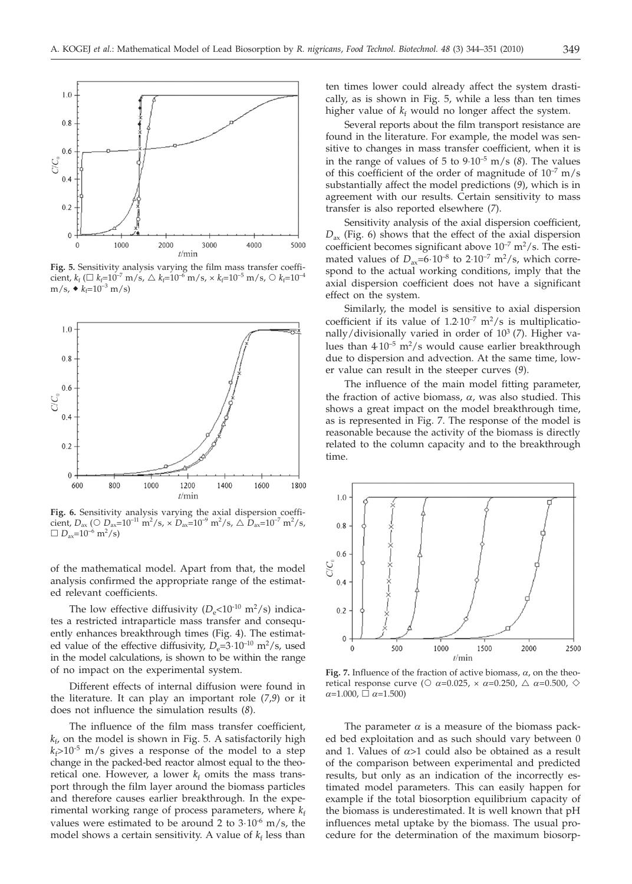

**Fig. 5.** Sensitivity analysis varying the film mass transfer coefficient,  $k_f$  ( $\Box$   $k_f$ =10<sup>-7</sup> m/s,  $\triangle$   $k_f$ =10<sup>-6</sup> m/s,  $\times$   $k_f$ =10<sup>-5</sup> m/s,  $\bigcirc$   $k_f$ =10<sup>-4</sup>  $m/s$ ,  $\triangleleft k_f=10^{-3}$  m/s)



**Fig. 6.** Sensitivity analysis varying the axial dispersion coefficient,  $D_{\text{ax}}$  ( $\bigcirc$   $D_{\text{ax}}$ =10<sup>-11</sup> m<sup>2</sup>/s,  $\times$   $D_{\text{ax}}$ =10<sup>-9</sup> m<sup>2</sup>/s,  $\bigcirc$   $D_{\text{ax}}$ =10<sup>-7</sup> m<sup>2</sup>/s,  $\Box$  *D*<sub>ax</sub>=10<sup>-6</sup> m<sup>2</sup>/s)

of the mathematical model. Apart from that, the model analysis confirmed the appropriate range of the estimated relevant coefficients.

The low effective diffusivity  $(D_e<10^{-10} \text{ m}^2/\text{s})$  indicates a restricted intraparticle mass transfer and consequently enhances breakthrough times (Fig. 4). The estimated value of the effective diffusivity,  $D_e=3.10^{-10}$  m<sup>2</sup>/s, used<br>in the model calculations is shown to be within the range in the model calculations, is shown to be within the range of no impact on the experimental system.

Different effects of internal diffusion were found in the literature. It can play an important role (*7*,*9*) or it does not influence the simulation results (*8*).

The influence of the film mass transfer coefficient,  $k_{\rm f}$ , on the model is shown in Fig. 5. A satisfactorily high  $k_f > 10^{-5}$  m/s gives a response of the model to a step change in the packed-bed reactor almost equal to the theoretical one. However, a lower  $k_f$  omits the mass transport through the film layer around the biomass particles and therefore causes earlier breakthrough. In the experimental working range of process parameters, where  $k_f$ values were estimated to be around 2 to  $3.10^{-6}$  m/s, the model shows a certain sensitivity. A value of  $k_f$  less than

ten times lower could already affect the system drastically, as is shown in Fig. 5, while a less than ten times higher value of  $k_f$  would no longer affect the system.

Several reports about the film transport resistance are found in the literature. For example, the model was sensitive to changes in mass transfer coefficient, when it is in the range of values of 5 to 9⋅10–5 m/s (*8*). The values of this coefficient of the order of magnitude of  $10^{-7}$  m/s substantially affect the model predictions (*9*), which is in agreement with our results. Certain sensitivity to mass transfer is also reported elsewhere (*7*).

Sensitivity analysis of the axial dispersion coefficient, *D*<sub>ax</sub> (Fig. 6) shows that the effect of the axial dispersion coefficient becomes significant above  $10^{-7}$  m<sup>2</sup>/s. The estimated values of  $D_{av} = 6 \cdot 10^{-8}$  to 2 $\cdot 10^{-7}$  m<sup>2</sup>/s, which correspond to the actual working conditions, imply that the axial dispersion coefficient does not have a significant effect on the system.

Similarly, the model is sensitive to axial dispersion coefficient if its value of  $1.2 \cdot 10^{-7}$  m<sup>2</sup>/s is multiplicationally/divisionally varied in order of 103 (*7*). Higher values than  $4\cdot10^{-5}$  m<sup>2</sup>/s would cause earlier breakthrough due to dispersion and advection. At the same time, lower value can result in the steeper curves (*9*).

The influence of the main model fitting parameter, the fraction of active biomass,  $\alpha$ , was also studied. This shows a great impact on the model breakthrough time, as is represented in Fig. 7. The response of the model is reasonable because the activity of the biomass is directly related to the column capacity and to the breakthrough time.



**Fig. 7.** Influence of the fraction of active biomass,  $\alpha$ , on the theoretical response curve ( $\circ$   $\alpha$ =0.025,  $\times$   $\alpha$ =0.250,  $\triangle$   $\alpha$ =0.500,  $\diamond$  $\alpha$ =1.000,  $\Box \alpha$ =1.500)

The parameter  $\alpha$  is a measure of the biomass packed bed exploitation and as such should vary between 0 and 1. Values of  $\alpha > 1$  could also be obtained as a result of the comparison between experimental and predicted results, but only as an indication of the incorrectly estimated model parameters. This can easily happen for example if the total biosorption equilibrium capacity of the biomass is underestimated. It is well known that pH influences metal uptake by the biomass. The usual procedure for the determination of the maximum biosorp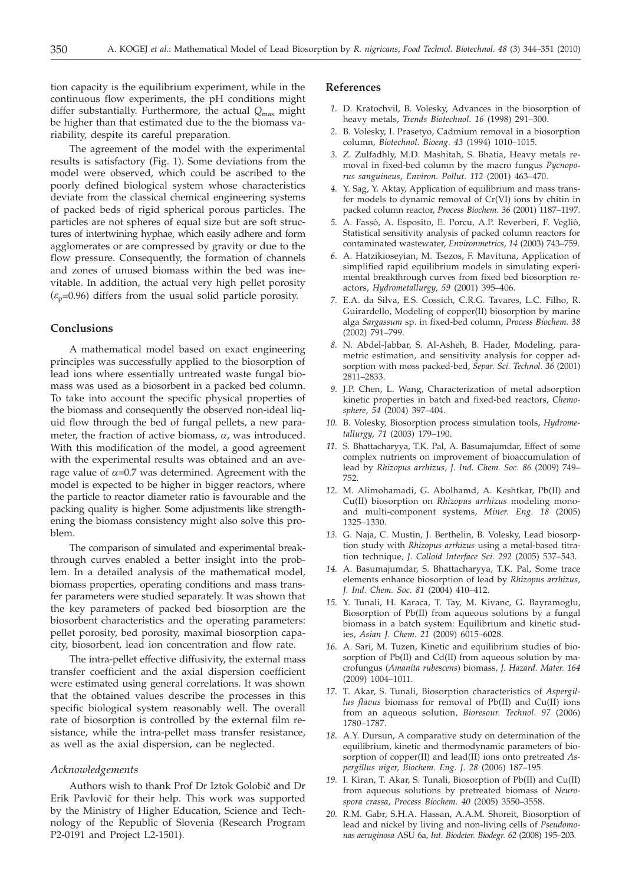tion capacity is the equilibrium experiment, while in the continuous flow experiments, the pH conditions might differ substantially. Furthermore, the actual  $Q_{\text{max}}$  might be higher than that estimated due to the the biomass variability, despite its careful preparation.

The agreement of the model with the experimental results is satisfactory (Fig. 1). Some deviations from the model were observed, which could be ascribed to the poorly defined biological system whose characteristics deviate from the classical chemical engineering systems of packed beds of rigid spherical porous particles. The particles are not spheres of equal size but are soft structures of intertwining hyphae, which easily adhere and form agglomerates or are compressed by gravity or due to the flow pressure. Consequently, the formation of channels and zones of unused biomass within the bed was inevitable. In addition, the actual very high pellet porosity  $(\varepsilon_p=0.96)$  differs from the usual solid particle porosity.

### **Conclusions**

A mathematical model based on exact engineering principles was successfully applied to the biosorption of lead ions where essentially untreated waste fungal biomass was used as a biosorbent in a packed bed column. To take into account the specific physical properties of the biomass and consequently the observed non-ideal liquid flow through the bed of fungal pellets, a new parameter, the fraction of active biomass,  $\alpha$ , was introduced. With this modification of the model, a good agreement with the experimental results was obtained and an average value of  $\alpha$ =0.7 was determined. Agreement with the model is expected to be higher in bigger reactors, where the particle to reactor diameter ratio is favourable and the packing quality is higher. Some adjustments like strengthening the biomass consistency might also solve this problem.

The comparison of simulated and experimental breakthrough curves enabled a better insight into the problem. In a detailed analysis of the mathematical model, biomass properties, operating conditions and mass transfer parameters were studied separately. It was shown that the key parameters of packed bed biosorption are the biosorbent characteristics and the operating parameters: pellet porosity, bed porosity, maximal biosorption capacity, biosorbent, lead ion concentration and flow rate.

The intra-pellet effective diffusivity, the external mass transfer coefficient and the axial dispersion coefficient were estimated using general correlations. It was shown that the obtained values describe the processes in this specific biological system reasonably well. The overall rate of biosorption is controlled by the external film resistance, while the intra-pellet mass transfer resistance, as well as the axial dispersion, can be neglected.

# *Acknowledgements*

Authors wish to thank Prof Dr Iztok Golobič and Dr Erik Pavlovič for their help. This work was supported by the Ministry of Higher Education, Science and Technology of the Republic of Slovenia (Research Program P2-0191 and Project L2-1501).

#### **References**

- *1.* D. Kratochvil, B. Volesky, Advances in the biosorption of heavy metals, *Trends Biotechnol. 16* (1998) 291–300.
- *2.* B. Volesky, I. Prasetyo, Cadmium removal in a biosorption column, *Biotechnol. Bioeng. 43* (1994) 1010–1015.
- *3.* Z. Zulfadhly, M.D. Mashitah, S. Bhatia, Heavy metals removal in fixed-bed column by the macro fungus *Pycnoporus sanguineus*, *Environ. Pollut. 112* (2001) 463–470.
- *4.* Y. Sag, Y. Aktay, Application of equilibrium and mass transfer models to dynamic removal of Cr(VI) ions by chitin in packed column reactor, *Process Biochem. 36* (2001) 1187–1197.
- *5.* A. Fassò, A. Esposito, E. Porcu, A.P. Reverberi, F. Vegliò, Statistical sensitivity analysis of packed column reactors for contaminated wastewater, *Environmetrics*, *14* (2003) 743–759.
- *6.* A. Hatzikioseyian, M. Tsezos, F. Mavituna, Application of simplified rapid equilibrium models in simulating experimental breakthrough curves from fixed bed biosorption reactors, *Hydrometallurgy*, *59* (2001) 395–406.
- *7.* E.A. da Silva, E.S. Cossich, C.R.G. Tavares, L.C. Filho, R. Guirardello, Modeling of copper(II) biosorption by marine alga *Sargassum* sp. in fixed-bed column, *Process Biochem. 38* (2002) 791–799.
- *8.* N. Abdel-Jabbar, S. Al-Asheh, B. Hader, Modeling, parametric estimation, and sensitivity analysis for copper adsorption with moss packed-bed, *Separ. Sci. Technol. 36* (2001) 2811–2833.
- *9.* J.P. Chen, L. Wang, Characterization of metal adsorption kinetic properties in batch and fixed-bed reactors, *Chemosphere*, *54* (2004) 397–404.
- *10.* B. Volesky, Biosorption process simulation tools, *Hydrometallurgy*, *71* (2003) 179–190.
- *11.* S. Bhattacharyya, T.K. Pal, A. Basumajumdar, Effect of some complex nutrients on improvement of bioaccumulation of lead by *Rhizopus arrhizus*, *J. Ind. Chem. Soc. 86* (2009) 749– 752.
- *12.* M. Alimohamadi, G. Abolhamd, A. Keshtkar, Pb(II) and Cu(II) biosorption on *Rhizopus arrhizus* modeling monoand multi-component systems, *Miner. Eng. 18* (2005) 1325–1330.
- *13.* G. Naja, C. Mustin, J. Berthelin, B. Volesky, Lead biosorption study with *Rhizopus arrhizus* using a metal-based titration technique, *J. Colloid Interface Sci. 292* (2005) 537–543.
- *14.* A. Basumajumdar, S. Bhattacharyya, T.K. Pal, Some trace elements enhance biosorption of lead by *Rhizopus arrhizus*, *J. Ind. Chem. Soc. 81* (2004) 410–412.
- *15.* Y. Tunali, H. Karaca, T. Tay, M. Kivanc, G. Bayramoglu, Biosorption of Pb(II) from aqueous solutions by a fungal biomass in a batch system: Equilibrium and kinetic studies, *Asian J. Chem. 21* (2009) 6015–6028.
- *16.* A. Sari, M. Tuzen, Kinetic and equilibrium studies of biosorption of Pb(II) and Cd(II) from aqueous solution by macrofungus (*Amanita rubescens*) biomass, *J. Hazard. Mater. 164* (2009) 1004–1011.
- *17.* T. Akar, S. Tunali, Biosorption characteristics of *Aspergillus flavus* biomass for removal of Pb(II) and Cu(II) ions from an aqueous solution, *Bioresour. Technol. 97* (2006) 1780–1787.
- *18.* A.Y. Dursun, A comparative study on determination of the equilibrium, kinetic and thermodynamic parameters of biosorption of copper(II) and lead(II) ions onto pretreated *Aspergillus niger*, *Biochem. Eng. J. 28* (2006) 187–195.
- *19.* I. Kiran, T. Akar, S. Tunali, Biosorption of Pb(II) and Cu(II) from aqueous solutions by pretreated biomass of *Neurospora crassa*, *Process Biochem. 40* (2005) 3550–3558.
- *20.* R.M. Gabr, S.H.A. Hassan, A.A.M. Shoreit, Biosorption of lead and nickel by living and non-living cells of *Pseudomonas aeruginosa* ASU 6a, *Int. Biodeter. Biodegr. 62* (2008) 195–203.